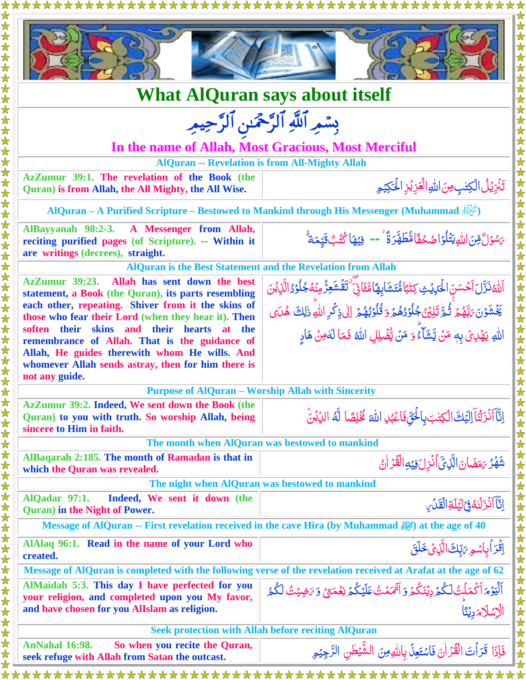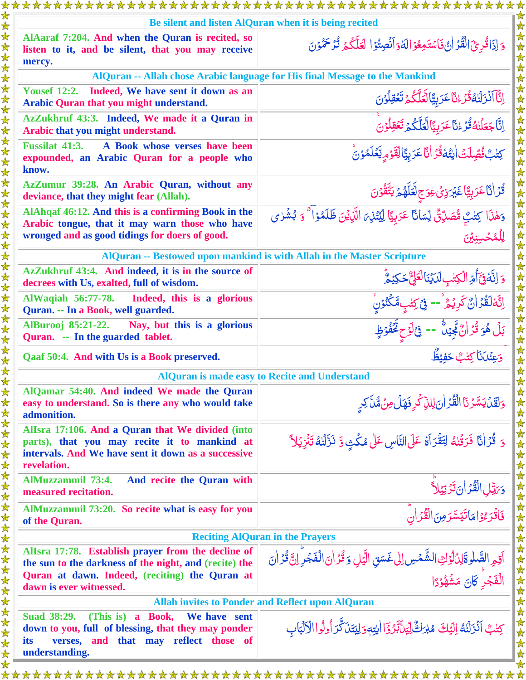| Be silent and listen AlQuran when it is being recited                                                                                                                  |                                                                                                                                                                                |  |
|------------------------------------------------------------------------------------------------------------------------------------------------------------------------|--------------------------------------------------------------------------------------------------------------------------------------------------------------------------------|--|
| AlAaraf 7:204. And when the Quran is recited, so<br>listen to it, and be silent, that you may receive<br>mercy.                                                        | وَ إِذَاقُرِئَ الْقُرْ إِنْ فَاسْتَمِعُوْ الدَّوَانُصِتُوْا لَعَلَّكُمْ تُرْحَمُوْنَ                                                                                           |  |
| AlQuran -- Allah chose Arabic language for His final Message to the Mankind                                                                                            |                                                                                                                                                                                |  |
| Yousef 12:2. Indeed, We have sent it down as an<br>Arabic Quran that you might understand.                                                                             | ٳڷۜٵؖڶؘۯٙڶۘٺڡؗ۠ڐؙۯۦ۠ٮ۠ٲۼؘۯؠؚؾٞٵڵۘۼۜڷػؙؽ <sup>ڗ</sup> ؿۊڶۯؘڹ<br>ٳڐۜٲڿۼڶۘڹڡ۠ڐ۫ۯۦ۠ٮٵۼۯۑؚؾؓٳڷۼڷػ۠ػؽ <sup>ڗ</sup> ٙۼۊؚڵۯڹؖ                                                          |  |
| AzZukhruf 43:3. Indeed, We made it a Quran in<br>Arabic that you might understand.                                                                                     |                                                                                                                                                                                |  |
| <b>Fussilat 41:3.</b><br>A Book whose verses have been<br>expounded, an Arabic Quran for a people who<br>know.                                                         | <sup></sup> كِتْبُ فُصِّلَتْ الِتُهَ قُرَ انَّا عَرَبِيَّا لِقَوْمِ يَّعَلَمُوْنُ                                                                                              |  |
| AzZumur 39:28. An Arabic Quran, without any<br>deviance, that they might fear (Allah).                                                                                 | <i>ٞ</i> ٙڐؙۯڶٲۼڗۑؚؾؖٵۼؘؽ <sub>ڗۮؚ</sub> ؽؘ؏ۅؘڄٟڷۘ <i>ػ</i> ڷۿؽ <sub>ڋ</sub> ؾۜڦؙٷڽؘ                                                                                           |  |
| AlAhqaf 46:12. And this is a confirming Book in the<br>Arabic tongue, that it may warn those who have<br>wronged and as good tidings for doers of good.                | <u>۔ سک کے مطابق کے مطابق کے مطابق کے ان کے بھی کے مشری کے مشری کے مشر</u><br>وَهٰذَا کِتٰنَّتِ شَّمَانِیٌّ لِّسَانًا عَرَبِیًّا لِیُّنۡذِیَ الَّذِیۡنَ ظَلَمۡوَا ۚ وَ بُشۡرٰی |  |
| AlQuran -- Bestowed upon mankind is with Allah in the Master Scripture                                                                                                 |                                                                                                                                                                                |  |
| AzZukhruf 43:4. And indeed, it is in the source of<br>decrees with Us, exalted, full of wisdom.                                                                        | <u>وَ</u> اِنَّخْفِخَ أُمِّ الْكِتْبِ لَدَيْنَا لَعَلِّ حَكِيْمٌ                                                                                                               |  |
| <b>AlWaqiah 56:77-78.</b><br>Indeed, this is a glorious<br>Quran. -- In a Book, well guarded.                                                                          | اِنَّهَٰلَقُرۡاٰنَّ كَرِيۡمُ ۚ-- فِىۡكِتٰبِمَّكۡنُوۡنِ                                                                                                                         |  |
| <b>AlBurooj 85:21-22.</b><br>Nay, but this is a glorious<br>Quran. -- In the guarded tablet.                                                                           | بَلۡ هُوَ قُرۡانٌ بِّحِيۡلٌ ۚ -- ۚ وۡۤاٰوۡحٍ مَِّعۡفُوۡظٍ                                                                                                                      |  |
| Qaaf 50:4. And with Us is a Book preserved.                                                                                                                            | وَعِنۡلَانَا كِتَٰبُ حَفِيۡظُ                                                                                                                                                  |  |
| <b>AlQuran is made easy to Recite and Understand</b>                                                                                                                   |                                                                                                                                                                                |  |
| AlQamar 54:40. And indeed We made the Quran<br>easy to understand. So is there any who would take<br>admonition.                                                       | <u>وَلَقَلۡ</u> يَسَّرُنَا الْقُرۡ أَنَ لِللَّهِ كَٰرِ فَهَلۡ مِنۡ مُّنَّ كِرِ                                                                                                 |  |
| Allsra 17:106. And a Quran that We divided (into<br>parts), that you may recite it to mankind at<br>intervals. And We have sent it down as a successive<br>revelation. | وَ قُرَانًا فَرَقُنْهُ لِتَقْرَاهُ عَلَى النَّاسِ عَلَى مُكْثٍ وَ نَزَّلْنَهُ تَنْزِيُلاً                                                                                      |  |
| <b>AlMuzzammil 73:4.</b><br>And recite the Quran with<br>measured recitation.                                                                                          | وَرَبِّلِ الْقُرۡ أَنَ تَرۡتِيۡلاَ ۚ<br> <br>  فَاقۡرَءُوۡ امَاتَيَسَّرَمِنَ الْقُرۡ أَن                                                                                       |  |
| AlMuzzammil 73:20. So recite what is easy for you<br>of the Quran.                                                                                                     |                                                                                                                                                                                |  |
| <b>Reciting AlQuran in the Prayers</b>                                                                                                                                 |                                                                                                                                                                                |  |
| Allsra 17:78. Establish prayer from the decline of<br>the sun to the darkness of the night, and (recite) the<br>Quran at dawn. Indeed, (reciting) the Quran at         | أَقِمِ الصَّلْوةَلِدُّلْوُكِ الشَّمْسِ إلى غَسَقِ الَّيَلِ وَقُرَٰ أَنَ الْفَجُرِ ۚ إِنَّ قُرَٰ أَنَ<br>الْفَجُرِ كَانَ مَشُهُوۡدًا                                            |  |
| dawn is ever witnessed.                                                                                                                                                |                                                                                                                                                                                |  |
| <b>Allah invites to Ponder and Reflect upon AlQuran</b>                                                                                                                |                                                                                                                                                                                |  |
| Suad 38:29. (This is) a Book,<br>We have sent<br>down to you, full of blessing, that they may ponder<br>verses, and that may reflect those of<br>its<br>understanding. | كِتْبٌ أَنْزَلْنَهُ إِلَيْكَ مُبْرَكٌّ لِيَتَآَبَّرُوْٓٓا الِّتِهِ وَلِيَتَنَ كَّرَ أُولُوا الْأَلْبَابِ                                                                       |  |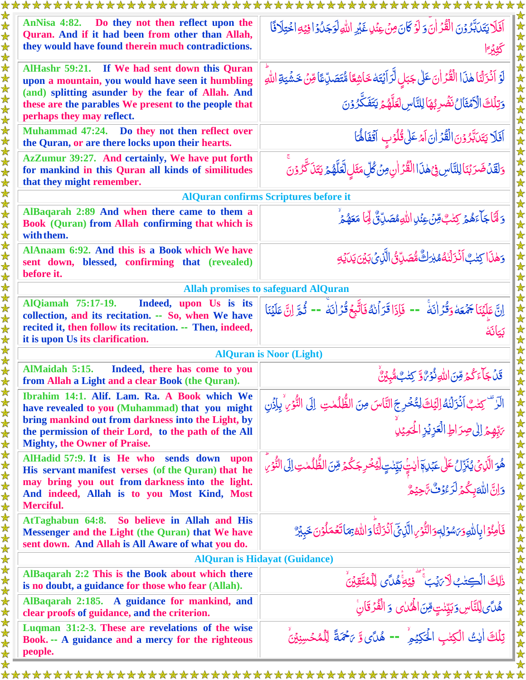| *********************<br>******************                                                                                                              |                                                                                                                                                            |  |
|----------------------------------------------------------------------------------------------------------------------------------------------------------|------------------------------------------------------------------------------------------------------------------------------------------------------------|--|
| AnNisa 4:82. Do they not then reflect upon the<br>Quran. And if it had been from other than Allah,<br>they would have found therein much contradictions. | أَفَلَا يَتَدَبَّرُوْنَ الْقُرْأَنَ وَلَوْكَانَ مِنْ عِنُلٍ غَيْرِ اللَّهِ لَوَجَدُوْا فِيْهِ اخْتِلَافًا<br>كثيرا                                         |  |
| AlHashr 59:21. If We had sent down this Quran<br>upon a mountain, you would have seen it humbling                                                        | لَوۡ اَذۡرَلۡنَا هٰذَا الۡقُدۡ اٰنَ عَلٰی جَبَابِ لَّرَ اَیۡتَهٗ خَاشِعًا مُّتَصَدِّعًا قِنۡ خَشۡیَةِ اللّٰهِ                                              |  |
| (and) splitting asunder by the fear of Allah. And                                                                                                        |                                                                                                                                                            |  |
| these are the parables We present to the people that<br>perhaps they may reflect.                                                                        | وَتِلۡكَ الۡكَمۡثَالُ نَضۡدِبُهَا لِلنَّاسِ لَعَلَّهُمۡ يَتَفَكَّرُوۡنَ                                                                                    |  |
| Muhammad 47:24. Do they not then reflect over<br>the Quran, or are there locks upon their hearts.                                                        | اَفَلَا يَتَلَبَّرُوْنَ الْقُرَٰانَ اَمَّ عَلٰى قُلُوْبٍ اَقْفَالُهَا                                                                                      |  |
| AzZumur 39:27. And certainly, We have put forth<br>for mankind in this Quran all kinds of similitudes<br>that they might remember.                       | وَلَقَلۡ ضَرَبۡنَالِلنَّاسِ فِيۡهٰذَا الۡقُرۡ اٰنِ مِنۡ كُلِّ مَثَلِ لَّعَلَّهُمۡ يَتَذَكَّرُوۡنَ                                                          |  |
| <b>AlQuran confirms Scriptures before it</b>                                                                                                             |                                                                                                                                                            |  |
| AlBaqarah 2:89 And when there came to them a<br>Book (Quran) from Allah confirming that which is<br>with them.                                           | وَ لَيَّا جَاًءَهُمۡ رَسَٰٓتِ مِّنۡ عِنۡدِ اللّٰهِ مُصَدِّقٌ لِّمَا مَعَهُمۡ                                                                               |  |
| AlAnaam 6:92. And this is a Book which We have<br>sent down, blessed, confirming that (revealed)<br>before it.                                           | وَهٰذَا كِتٰبٌ أَنۡزَلۡنَٰهُمُبۡرَكٌ مُّصَدِّنَٰٓ الَّذِيۡ بَيۡنَ يَدَيۡ وَلَٰٓ لِ                                                                         |  |
| <b>Allah promises to safeguard AlQuran</b>                                                                                                               |                                                                                                                                                            |  |
| <b>AlQiamah 75:17-19.</b><br>Indeed, upon Us is its                                                                                                      | اِنَّ عَلَيْنَا جَمُعَهُ وَقُرُ اٰنَه <sup>ْ -</sup> - فَإِذَا قَرَاُنهُ فَاتَّبِعُ قُرَ اٰنَهُ -- ثُمَّ اِنَّ عَلَيْنَا                                   |  |
| collection, and its recitation. -- So, when We have<br>recited it, then follow its recitation. -- Then, indeed,                                          | بكانة                                                                                                                                                      |  |
| it is upon Us its clarification.                                                                                                                         |                                                                                                                                                            |  |
| <b>AlQuran is Noor (Light)</b>                                                                                                                           |                                                                                                                                                            |  |
| AlMaidah 5:15.<br>Indeed, there has come to you<br>from Allah a Light and a clear Book (the Quran).                                                      | قَلْ جَآءَ كُمۡ مِّنَ اللَّهِ نُوۡرٌ وَ ۚ كِتَٰبٌ مُّبِيۡنٌ                                                                                                |  |
| Ibrahim 14:1. Alif. Lam. Ra. A Book which We<br>have revealed to you (Muhammad) that you might                                                           | الَّا ۚ كِتٰبٌ اَنۡزَلۡنَٰهُ اِلۡيَكَ لِتُّخۡرِجَ النَّاسَ مِنَ الظُّلُمٰتِ ۚ إِلَى النُّوۡرِ ۚ بِإِذۡنِ<br>يَبْهِمۡ إِلٰى صِرَاطِ الۡعَزِيۡزِ الۡحَمِيۡلِ |  |
| bring mankind out from darkness into the Light, by                                                                                                       |                                                                                                                                                            |  |
| the permission of their Lord, to the path of the All<br><b>Mighty, the Owner of Praise.</b>                                                              |                                                                                                                                                            |  |
| AlHadid 57:9. It is He who sends down upon<br>His servant manifest verses (of the Quran) that he                                                         | ۿۄؘالَّذِي يُنَزِّلُ عَلَى عَبۡلِهٖٓ اللَّـٰ بَيِّنۡتٍ لَّيۡخُرِ جَكُمۡ مِّنَ الظُّلُمٰتِ إِلَى النُّوۡرِ                                                  |  |
| may bring you out from darkness into the light.                                                                                                          | وَانَّ اللَّهَ بِكُمۡ لَرَّ وُفُّ تَّ حِيۡهُمْ                                                                                                             |  |
| And indeed, Allah is to you Most Kind, Most<br>Merciful.                                                                                                 |                                                                                                                                                            |  |
| AtTaghabun 64:8. So believe in Allah and His                                                                                                             |                                                                                                                                                            |  |
| Messenger and the Light (the Quran) that We have<br>sent down. And Allah is All Aware of what you do.                                                    | فَأُمِنُوَ ابِاللَّهِ وَبَسْوَلِهِ وَالنُّوْمِ الَّذِيِّ آَنْزَلْنَا وَاللَّهُ بِمَاتَعُمَلُوْنَ خَبِيْرٌ                                                  |  |
| <b>AlQuran is Hidayat (Guidance)</b>                                                                                                                     |                                                                                                                                                            |  |
| AlBaqarah 2:2 This is the Book about which there<br>is no doubt, a guidance for those who fear (Allah).                                                  | ذٰلِكَ الْكِتٰبُ لَا يَيْبَ ۚ فِيْهِ ۚ هُلَّى لِلْمُتَّقِينَ                                                                                               |  |
| AlBaqarah 2:185. A guidance for mankind, and<br>clear proofs of guidance, and the criterion.                                                             | هُلَّى لِّلنَّاسِ وَبَيِّنْتٍ مِّنَ الْهُمَاىِ وَ الْفُرْقَانِ                                                                                             |  |
| Luqman 31:2-3. These are revelations of the wise<br>Book. -- A guidance and a mercy for the righteous                                                    | تِلْكَ اٰيتُ الْكِتْبِ الْحَكِيْمِ ْ -- هُلَّى وَّ يَحْمَةً لِلْمُحْسِنِينَّ                                                                               |  |
| people.                                                                                                                                                  |                                                                                                                                                            |  |